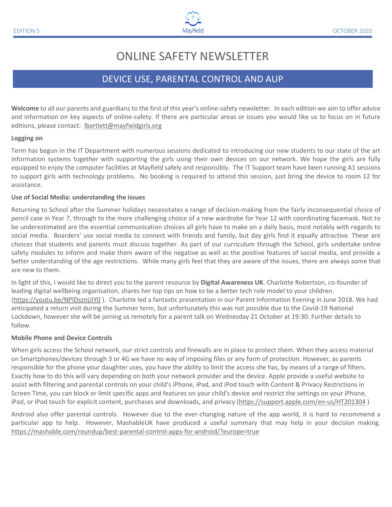# ONLINE SAFETY NEWSLETTER

# DEVICE USE, PARENTAL CONTROL AND AUP

**Welcome** to all our parents and guardians to the first of this year's online-safety newsletter. In each edition we aim to offer advice and information on key aspects of online-safety. If there are particular areas or issues you would like us to focus on in future editions, please contact: [lbartlett@mayfieldgirls.org](mailto:lbartlett@mayfieldgirls.org)

#### **Logging on**

Term has begun in the IT Department with numerous sessions dedicated to introducing our new students to our state of the art information systems together with supporting the girls using their own devices on our network. We hope the girls are fully equipped to enjoy the computer facilities at Mayfield safely and responsibly. The IT Support team have been running A1 sessions to support girls with technology problems. No booking is required to attend this session, just bring the device to room 12 for assistance.

## **Use of Social Media: understanding the issues**

Returning to School after the Summer holidays necessitates a range of decision-making from the fairly inconsequential choice of pencil case in Year 7, through to the more challenging choice of a new wardrobe for Year 12 with coordinating facemask. Not to be underestimated are the essential communication choices all girls have to make on a daily basis, most notably with regards to social media. Boarders' use social media to connect with friends and family, but day girls find it equally attractive. These are choices that students and parents must discuss together. As part of our curriculum through the School, girls undertake online safety modules to inform and make them aware of the negative as well as the positive features of social media, and provide a better understanding of the age restrictions. While many girls feel that they are aware of the issues, there are always some that are new to them.

In light of this, I would like to direct you to the parent resource by **Digital Awareness UK**. Charlotte Robertson, co-founder of leading digital wellbeing organisation, shares her top tips on how to be a better tech role model to your children. [\(https://youtu.be/NPlDsznUiY0](https://youtu.be/NPlDsznUiY0) ). Charlotte led a fantastic presentation in our Parent Information Evening in June 2018. We had anticipated a return visit during the Summer term, but unfortunately this was not possible due to the Covid-19 National Lockdown, however she will be joining us remotely for a parent talk on Wednesday 21 October at 19:30. Further details to follow.

## **Mobile Phone and Device Controls**

When girls access the School network, our strict controls and firewalls are in place to protect them. When they access material on Smartphones/devices through 3 or 4G we have no way of imposing files or any form of protection. However, as parents responsible for the phone your daughter uses, you have the ability to limit the access she has, by means of a range of filters. Exactly how to do this will vary depending on both your network provider and the device. Apple provide a useful website to assist with filtering and parental controls on your child's iPhone, iPad, and iPod touch with Content & Privacy Restrictions in Screen Time, you can block or limit specific apps and features on your child's device and restrict the settings on your iPhone, iPad, or iPod touch for explicit content, purchases and downloads, and privacy [\(https://support.apple.com/en-us/HT201304](https://support.apple.com/en-us/HT201304) )

Android also offer parental controls. However due to the ever-changing nature of the app world, it is hard to recommend a particular app to help. However, MashableUK have produced a useful summary that may help in your decision making. <https://mashable.com/roundup/best-parental-control-apps-for-android/?europe=true>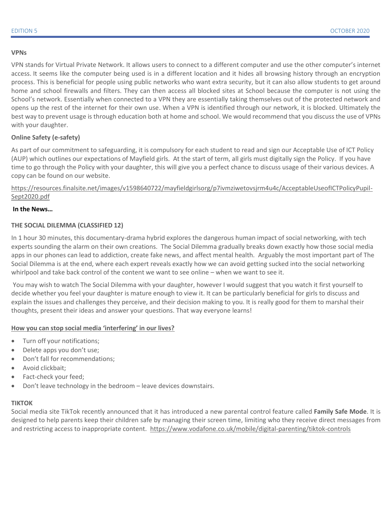#### **VPNs**

VPN stands for [Virtual Private Network](https://www.howtogeek.com/133680/htg-explains-what-is-a-vpn/). It allows users to connect to a different computer and use the other computer's internet access. [It seems like the computer being used is in a different location and it hides all browsing history through an encryption](https://computer.howstuffworks.com/vpn2.htm)  [process.](https://computer.howstuffworks.com/vpn2.htm) This is beneficial for people using public networks who want extra security, but it can also allow students to get around home and school firewalls and filters. They can then access all blocked sites at School because the computer is not using the School's network. Essentially when connected to a VPN they are essentially taking themselves out of the protected network and opens up the rest of the internet for their own use. When a VPN is identified through our network, it is blocked. Ultimately the best way to prevent usage is through education both at home and school. We would recommend that you discuss the use of VPNs with your daughter.

# **Online Safety (e-safety)**

As part of our commitment to safeguarding, it is compulsory for each student to read and sign our Acceptable Use of ICT Policy (AUP) which outlines our expectations of Mayfield girls. At the start of term, all girls must digitally sign the Policy. If you have time to go through the Policy with your daughter, this will give you a perfect chance to discuss usage of their various devices. A copy can be found on our website.

[https://resources.finalsite.net/images/v1598640722/mayfieldgirlsorg/p7ivmziwetovsjrm4u4c/AcceptableUseofICTPolicyPupil-](https://resources.finalsite.net/images/v1598640722/mayfieldgirlsorg/p7ivmziwetovsjrm4u4c/AcceptableUseofICTPolicyPupil-Sept2020.pdf)[Sept2020.pdf](https://resources.finalsite.net/images/v1598640722/mayfieldgirlsorg/p7ivmziwetovsjrm4u4c/AcceptableUseofICTPolicyPupil-Sept2020.pdf)

# **In the News…**

## **THE SOCIAL DILEMMA (CLASSIFIED 12)**

In 1 hour 30 minutes, this documentary-drama hybrid explores the dangerous human impact of social networking, with tech experts sounding the alarm on their own creations. The Social Dilemma gradually breaks down exactly how those social media apps in our phones can lead to addiction, create fake news, and affect mental health. Arguably the most important part of The Social Dilemma is at the end, where each expert reveals exactly how we can avoid getting sucked into the social networking whirlpool and take back control of the content we want to see online – when we want to see it.

You may wish to watch The Social Dilemma with your daughter, however I would suggest that you watch it first yourself to decide whether you feel your daughter is mature enough to view it. It can be particularly beneficial for girls to discuss and explain the issues and challenges they perceive, and their decision making to you. It is really good for them to marshal their thoughts, present their ideas and answer your questions. That way everyone learns!

## **How you can stop social media 'interfering' in our lives?**

- Turn off your notifications;
- Delete apps you don't use;
- Don't fall for recommendations;
- Avoid clickbait;
- Fact-check your feed;
- Don't leave technology in the bedroom leave devices downstairs.

#### **TIKTOK**

Social media site TikTok recently announced that it has introduced a new parental control feature called **Family [Safe Mode](https://newsroom.tiktok.com/en-gb/family-safety-mode-and-screentime-management-in-feed)**. It is designed to help parents keep their children safe by managing their screen time, limiting who they receive direct messages from and restricting access to inappropriate content.<https://www.vodafone.co.uk/mobile/digital-parenting/tiktok-controls>